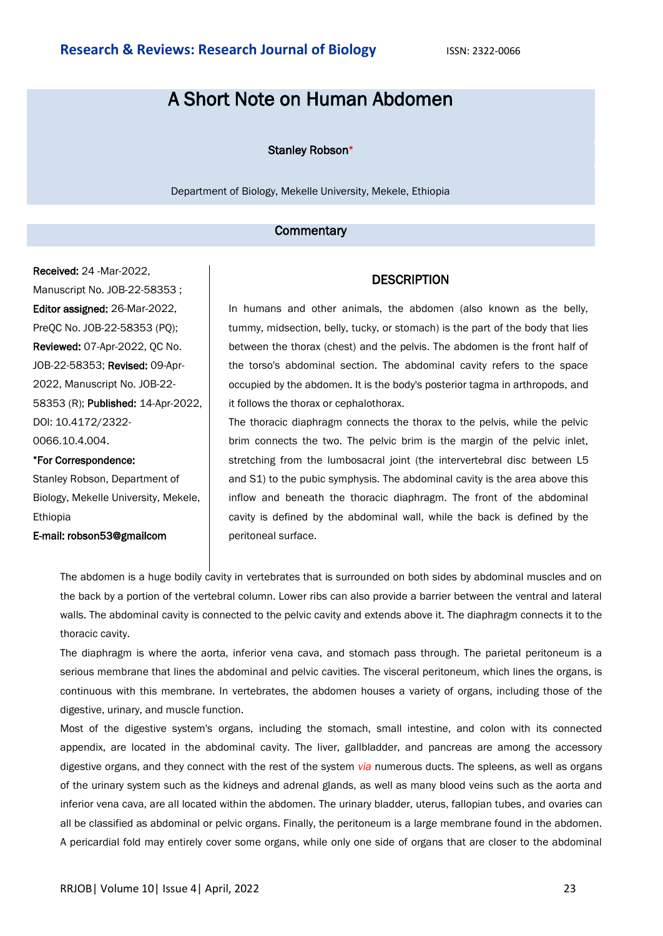# A Short Note on Human Abdomen

#### Stanley Robson\*

Department of Biology, Mekelle University, Mekele, Ethiopia

#### **Commentary**

Received: 24 -Mar-2022, Manuscript No. JOB-22-58353 ; Editor assigned: 26-Mar-2022, PreQC No. JOB-22-58353 (PQ); Reviewed: 07-Apr-2022, QC No. JOB-22-58353; Revised: 09-Apr-2022, Manuscript No. JOB-22- 58353 (R); Published: 14-Apr-2022, DOI: 10.4172/2322- 0066.10.4.004.

#### \*For Correspondence:

Stanley Robson, Department of Biology, Mekelle University, Mekele, Ethiopia

E-mail: robson53@gmailcom

### **DESCRIPTION**

In humans and other animals, the abdomen (also known as the belly, tummy, midsection, belly, tucky, or stomach) is the part of the body that lies between the thorax (chest) and the pelvis. The abdomen is the front half of the torso's abdominal section. The abdominal cavity refers to the space occupied by the abdomen. It is the body's posterior tagma in arthropods, and it follows the thorax or cephalothorax.

The thoracic diaphragm connects the thorax to the pelvis, while the pelvic brim connects the two. The pelvic brim is the margin of the pelvic inlet, stretching from the lumbosacral joint (the intervertebral disc between L5 and S1) to the pubic symphysis. The abdominal cavity is the area above this inflow and beneath the thoracic diaphragm. The front of the abdominal cavity is defined by the abdominal wall, while the back is defined by the peritoneal surface.

The abdomen is a huge bodily cavity in vertebrates that is surrounded on both sides by abdominal muscles and on the back by a portion of the vertebral column. Lower ribs can also provide a barrier between the ventral and lateral walls. The abdominal cavity is connected to the pelvic cavity and extends above it. The diaphragm connects it to the thoracic cavity.

The diaphragm is where the aorta, inferior vena cava, and stomach pass through. The parietal peritoneum is a serious membrane that lines the abdominal and pelvic cavities. The visceral peritoneum, which lines the organs, is continuous with this membrane. In vertebrates, the abdomen houses a variety of organs, including those of the digestive, urinary, and muscle function.

Most of the digestive system's organs, including the stomach, small intestine, and colon with its connected appendix, are located in the abdominal cavity. The liver, gallbladder, and pancreas are among the accessory digestive organs, and they connect with the rest of the system *via* numerous ducts. The spleens, as well as organs of the urinary system such as the kidneys and adrenal glands, as well as many blood veins such as the aorta and inferior vena cava, are all located within the abdomen. The urinary bladder, uterus, fallopian tubes, and ovaries can all be classified as abdominal or pelvic organs. Finally, the peritoneum is a large membrane found in the abdomen. A pericardial fold may entirely cover some organs, while only one side of organs that are closer to the abdominal